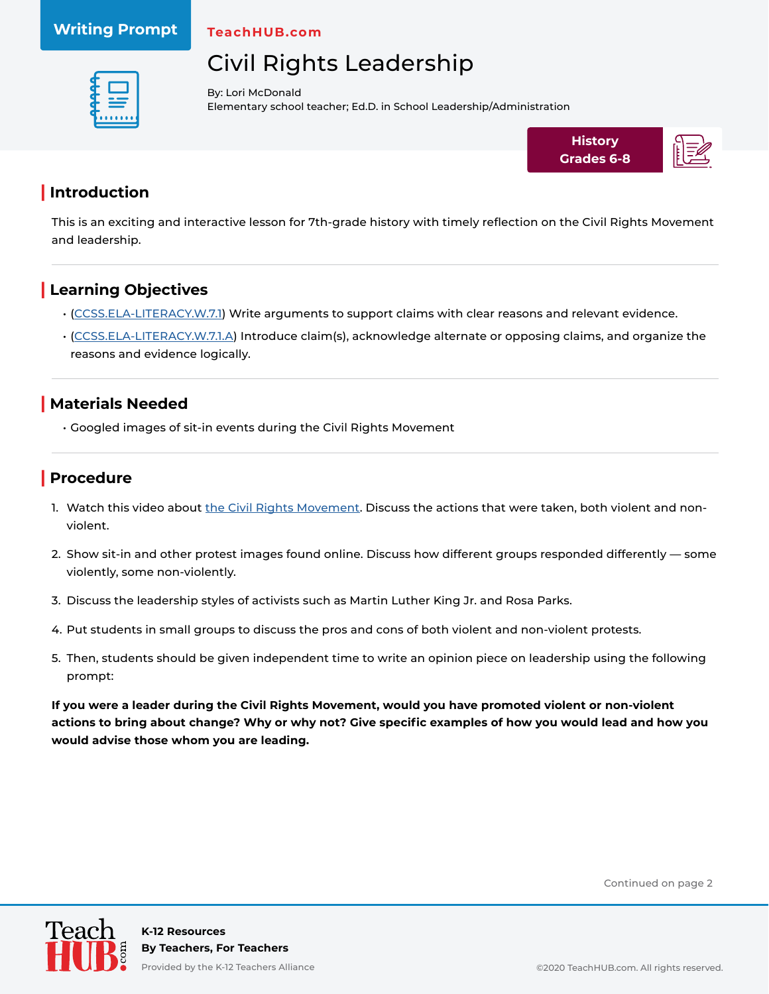#### **Writing Prompt**

**TeachHUB.com**

## Civil Rights Leadership



By: Lori McDonald Elementary school teacher; Ed.D. in School Leadership/Administration



#### **| Introduction**

This is an exciting and interactive lesson for 7th-grade history with timely reflection on the Civil Rights Movement and leadership.

### **| Learning Objectives**

- ([CCSS.ELA-LITERACY.W.7.1\)](http://www.corestandards.org/ELA-Literacy/W/7/1/) Write arguments to support claims with clear reasons and relevant evidence.
- ([CCSS.ELA-LITERACY.W.7.1.A\)](http://www.corestandards.org/ELA-Literacy/W/7/1/a/) Introduce claim(s), acknowledge alternate or opposing claims, and organize the reasons and evidence logically.

#### **| Materials Needed**

• Googled images of sit-in events during the Civil Rights Movement

#### **| Procedure**

- 1. Watch this video about [the Civil Rights Movement.](https://rjfisher.lgusd.org/apps/video/watch.jsp?v=108236) Discuss the actions that were taken, both violent and nonviolent.
- 2. Show sit-in and other protest images found online. Discuss how different groups responded differently some violently, some non-violently.
- 3. Discuss the leadership styles of activists such as Martin Luther King Jr. and Rosa Parks.
- 4. Put students in small groups to discuss the pros and cons of both violent and non-violent protests.
- 5. Then, students should be given independent time to write an opinion piece on leadership using the following prompt:

**If you were a leader during the Civil Rights Movement, would you have promoted violent or non-violent actions to bring about change? Why or why not? Give specific examples of how you would lead and how you would advise those whom you are leading.**

Continued on page 2